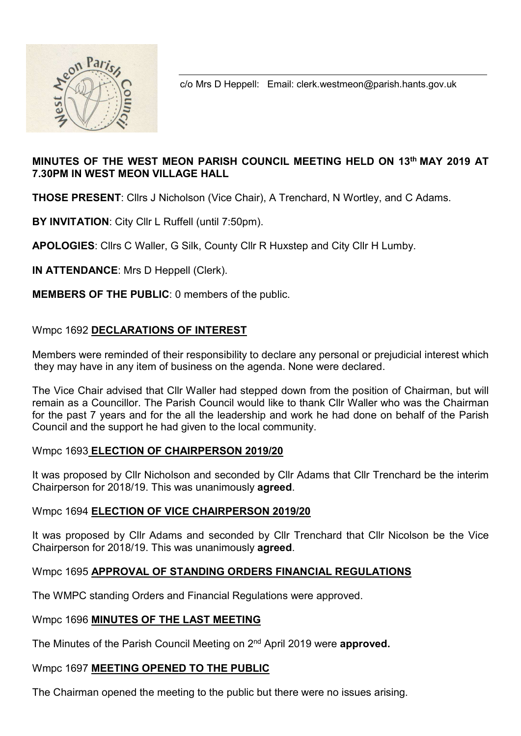

c/o Mrs D Heppell: Email: clerk.westmeon@parish.hants.gov.uk

## MINUTES OF THE WEST MEON PARISH COUNCIL MEETING HELD ON 13th MAY 2019 AT 7.30PM IN WEST MEON VILLAGE HALL

THOSE PRESENT: Cllrs J Nicholson (Vice Chair), A Trenchard, N Wortley, and C Adams.

BY INVITATION: City Cllr L Ruffell (until 7:50pm).

APOLOGIES: Cllrs C Waller, G Silk, County Cllr R Huxstep and City Cllr H Lumby.

IN ATTENDANCE: Mrs D Heppell (Clerk).

MEMBERS OF THE PUBLIC: 0 members of the public.

## Wmpc 1692 DECLARATIONS OF INTEREST

Members were reminded of their responsibility to declare any personal or prejudicial interest which they may have in any item of business on the agenda. None were declared.

The Vice Chair advised that Cllr Waller had stepped down from the position of Chairman, but will remain as a Councillor. The Parish Council would like to thank Cllr Waller who was the Chairman for the past 7 years and for the all the leadership and work he had done on behalf of the Parish Council and the support he had given to the local community.

## Wmpc 1693 ELECTION OF CHAIRPERSON 2019/20

It was proposed by Cllr Nicholson and seconded by Cllr Adams that Cllr Trenchard be the interim Chairperson for 2018/19. This was unanimously agreed.

## Wmpc 1694 ELECTION OF VICE CHAIRPERSON 2019/20

It was proposed by Cllr Adams and seconded by Cllr Trenchard that Cllr Nicolson be the Vice Chairperson for 2018/19. This was unanimously agreed.

## Wmpc 1695 APPROVAL OF STANDING ORDERS FINANCIAL REGULATIONS

The WMPC standing Orders and Financial Regulations were approved.

## Wmpc 1696 MINUTES OF THE LAST MEETING

The Minutes of the Parish Council Meeting on 2<sup>nd</sup> April 2019 were **approved.** 

## Wmpc 1697 MEETING OPENED TO THE PUBLIC

The Chairman opened the meeting to the public but there were no issues arising.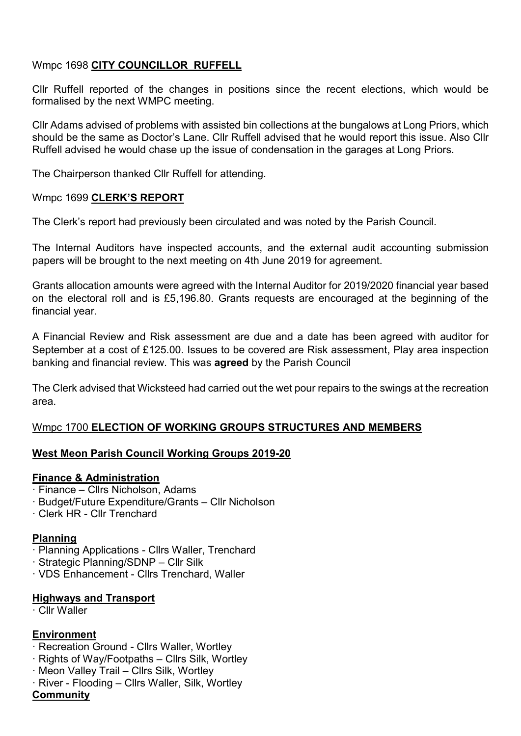# Wmpc 1698 CITY COUNCILLOR RUFFELL

Cllr Ruffell reported of the changes in positions since the recent elections, which would be formalised by the next WMPC meeting.

Cllr Adams advised of problems with assisted bin collections at the bungalows at Long Priors, which should be the same as Doctor's Lane. Cllr Ruffell advised that he would report this issue. Also Cllr Ruffell advised he would chase up the issue of condensation in the garages at Long Priors.

The Chairperson thanked Cllr Ruffell for attending.

#### Wmpc 1699 CLERK'S REPORT

The Clerk's report had previously been circulated and was noted by the Parish Council.

The Internal Auditors have inspected accounts, and the external audit accounting submission papers will be brought to the next meeting on 4th June 2019 for agreement.

Grants allocation amounts were agreed with the Internal Auditor for 2019/2020 financial year based on the electoral roll and is £5,196.80. Grants requests are encouraged at the beginning of the financial year.

A Financial Review and Risk assessment are due and a date has been agreed with auditor for September at a cost of £125.00. Issues to be covered are Risk assessment, Play area inspection banking and financial review. This was agreed by the Parish Council

The Clerk advised that Wicksteed had carried out the wet pour repairs to the swings at the recreation area.

#### Wmpc 1700 ELECTION OF WORKING GROUPS STRUCTURES AND MEMBERS

#### West Meon Parish Council Working Groups 2019-20

#### Finance & Administration

- · Finance Cllrs Nicholson, Adams
- · Budget/Future Expenditure/Grants Cllr Nicholson
- · Clerk HR Cllr Trenchard

#### Planning

- · Planning Applications Cllrs Waller, Trenchard
- · Strategic Planning/SDNP Cllr Silk
- · VDS Enhancement Cllrs Trenchard, Waller

#### Highways and Transport

· Cllr Waller

#### Environment

- · Recreation Ground Cllrs Waller, Wortley
- · Rights of Way/Footpaths Cllrs Silk, Wortley
- · Meon Valley Trail Cllrs Silk, Wortley
- · River Flooding Cllrs Waller, Silk, Wortley

#### **Community**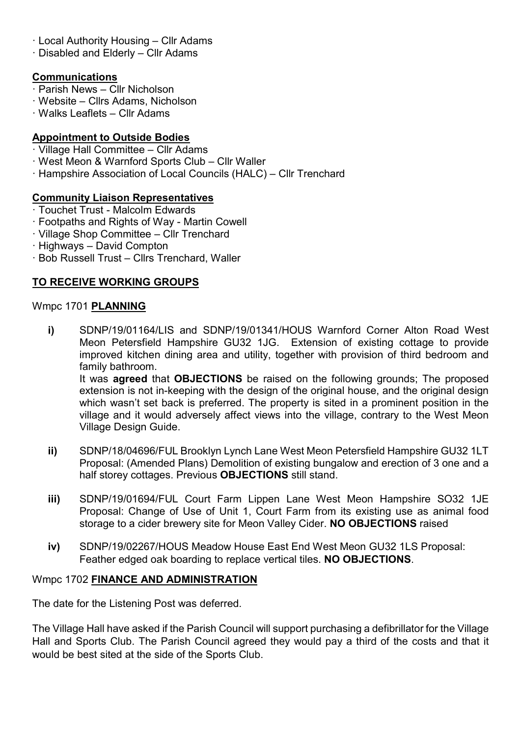- · Local Authority Housing Cllr Adams
- · Disabled and Elderly Cllr Adams

## **Communications**

- · Parish News Cllr Nicholson
- · Website Cllrs Adams, Nicholson
- · Walks Leaflets Cllr Adams

# Appointment to Outside Bodies

- · Village Hall Committee Cllr Adams
- · West Meon & Warnford Sports Club Cllr Waller
- · Hampshire Association of Local Councils (HALC) Cllr Trenchard

# Community Liaison Representatives

- · Touchet Trust Malcolm Edwards
- · Footpaths and Rights of Way Martin Cowell
- · Village Shop Committee Cllr Trenchard
- · Highways David Compton
- · Bob Russell Trust Cllrs Trenchard, Waller

# TO RECEIVE WORKING GROUPS

## Wmpc 1701 PLANNING

i) SDNP/19/01164/LIS and SDNP/19/01341/HOUS Warnford Corner Alton Road West Meon Petersfield Hampshire GU32 1JG. Extension of existing cottage to provide improved kitchen dining area and utility, together with provision of third bedroom and family bathroom. It was **agreed** that **OBJECTIONS** be raised on the following grounds: The proposed

extension is not in-keeping with the design of the original house, and the original design which wasn't set back is preferred. The property is sited in a prominent position in the village and it would adversely affect views into the village, contrary to the West Meon Village Design Guide.

- ii) SDNP/18/04696/FUL Brooklyn Lynch Lane West Meon Petersfield Hampshire GU32 1LT Proposal: (Amended Plans) Demolition of existing bungalow and erection of 3 one and a half storey cottages. Previous OBJECTIONS still stand.
- iii) SDNP/19/01694/FUL Court Farm Lippen Lane West Meon Hampshire SO32 1JE Proposal: Change of Use of Unit 1, Court Farm from its existing use as animal food storage to a cider brewery site for Meon Valley Cider. NO OBJECTIONS raised
- iv) SDNP/19/02267/HOUS Meadow House East End West Meon GU32 1LS Proposal: Feather edged oak boarding to replace vertical tiles. NO OBJECTIONS.

# Wmpc 1702 FINANCE AND ADMINISTRATION

The date for the Listening Post was deferred.

The Village Hall have asked if the Parish Council will support purchasing a defibrillator for the Village Hall and Sports Club. The Parish Council agreed they would pay a third of the costs and that it would be best sited at the side of the Sports Club.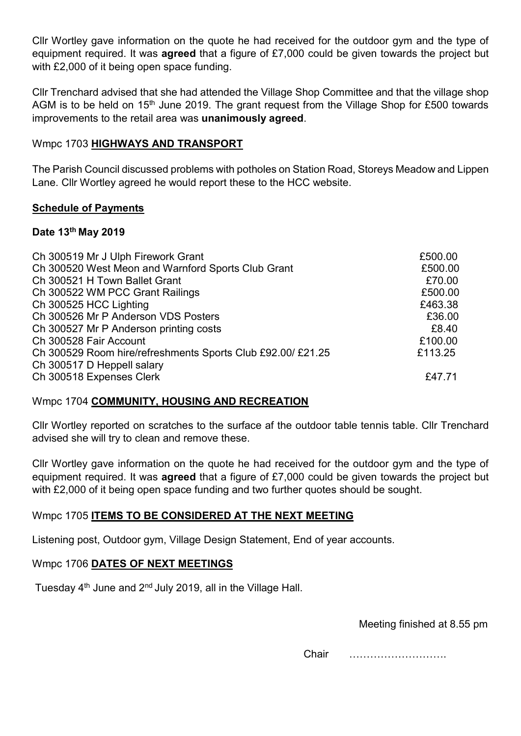Cllr Wortley gave information on the quote he had received for the outdoor gym and the type of equipment required. It was agreed that a figure of £7,000 could be given towards the project but with £2,000 of it being open space funding.

Cllr Trenchard advised that she had attended the Village Shop Committee and that the village shop AGM is to be held on 15<sup>th</sup> June 2019. The grant request from the Village Shop for £500 towards improvements to the retail area was unanimously agreed.

## Wmpc 1703 HIGHWAYS AND TRANSPORT

The Parish Council discussed problems with potholes on Station Road, Storeys Meadow and Lippen Lane. Cllr Wortley agreed he would report these to the HCC website.

## Schedule of Payments

## Date 13th May 2019

| Ch 300519 Mr J Ulph Firework Grant                          | £500.00 |
|-------------------------------------------------------------|---------|
| Ch 300520 West Meon and Warnford Sports Club Grant          | £500.00 |
| Ch 300521 H Town Ballet Grant                               | £70.00  |
| Ch 300522 WM PCC Grant Railings                             | £500.00 |
| Ch 300525 HCC Lighting                                      | £463.38 |
| Ch 300526 Mr P Anderson VDS Posters                         | £36.00  |
| Ch 300527 Mr P Anderson printing costs                      | £8.40   |
| Ch 300528 Fair Account                                      | £100.00 |
| Ch 300529 Room hire/refreshments Sports Club £92.00/ £21.25 | £113.25 |
| Ch 300517 D Heppell salary                                  |         |
| Ch 300518 Expenses Clerk                                    | £47.71  |
|                                                             |         |

# Wmpc 1704 COMMUNITY, HOUSING AND RECREATION

Cllr Wortley reported on scratches to the surface af the outdoor table tennis table. Cllr Trenchard advised she will try to clean and remove these.

Cllr Wortley gave information on the quote he had received for the outdoor gym and the type of equipment required. It was **agreed** that a figure of £7,000 could be given towards the project but with £2,000 of it being open space funding and two further quotes should be sought.

# Wmpc 1705 ITEMS TO BE CONSIDERED AT THE NEXT MEETING

Listening post, Outdoor gym, Village Design Statement, End of year accounts.

## Wmpc 1706 DATES OF NEXT MEETINGS

Tuesday  $4<sup>th</sup>$  June and  $2<sup>nd</sup>$  July 2019, all in the Village Hall.

Meeting finished at 8.55 pm

Chair ……………………….